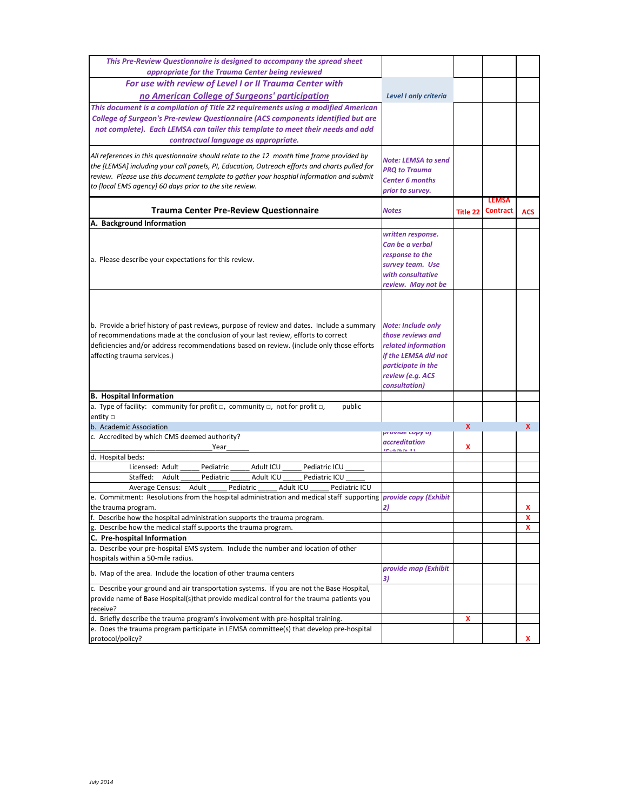| This Pre-Review Questionnaire is designed to accompany the spread sheet                                               |                              |                 |                 |              |
|-----------------------------------------------------------------------------------------------------------------------|------------------------------|-----------------|-----------------|--------------|
| appropriate for the Trauma Center being reviewed                                                                      |                              |                 |                 |              |
| For use with review of Level I or II Trauma Center with                                                               |                              |                 |                 |              |
| no American College of Surgeons' participation                                                                        | <b>Level I only criteria</b> |                 |                 |              |
| This document is a compilation of Title 22 requirements using a modified American                                     |                              |                 |                 |              |
| College of Surgeon's Pre-review Questionnaire (ACS components identified but are                                      |                              |                 |                 |              |
| not complete). Each LEMSA can tailer this template to meet their needs and add                                        |                              |                 |                 |              |
| contractual language as appropriate.                                                                                  |                              |                 |                 |              |
|                                                                                                                       |                              |                 |                 |              |
| All references in this questionnaire should relate to the 12 month time frame provided by                             | Note: LEMSA to send          |                 |                 |              |
| the [LEMSA] including your call panels, PI, Education, Outreach efforts and charts pulled for                         | <b>PRQ to Trauma</b>         |                 |                 |              |
| review. Please use this document template to gather your hosptial information and submit                              | <b>Center 6 months</b>       |                 |                 |              |
| to [local EMS agency] 60 days prior to the site review.                                                               | prior to survey.             |                 |                 |              |
|                                                                                                                       |                              |                 | <b>LEMSA</b>    |              |
| <b>Trauma Center Pre-Review Questionnaire</b>                                                                         | <b>Notes</b>                 | <b>Title 22</b> | <b>Contract</b> | <b>ACS</b>   |
| A. Background Information                                                                                             |                              |                 |                 |              |
|                                                                                                                       | written response.            |                 |                 |              |
|                                                                                                                       | Can be a verbal              |                 |                 |              |
| a. Please describe your expectations for this review.                                                                 | response to the              |                 |                 |              |
|                                                                                                                       | survey team. Use             |                 |                 |              |
|                                                                                                                       | with consultative            |                 |                 |              |
|                                                                                                                       | review. May not be           |                 |                 |              |
|                                                                                                                       |                              |                 |                 |              |
|                                                                                                                       |                              |                 |                 |              |
|                                                                                                                       |                              |                 |                 |              |
| b. Provide a brief history of past reviews, purpose of review and dates. Include a summary                            | <b>Note: Include only</b>    |                 |                 |              |
| of recommendations made at the conclusion of your last review, efforts to correct                                     | those reviews and            |                 |                 |              |
| deficiencies and/or address recommendations based on review. (include only those efforts                              | related information          |                 |                 |              |
| affecting trauma services.)                                                                                           | if the LEMSA did not         |                 |                 |              |
|                                                                                                                       | participate in the           |                 |                 |              |
|                                                                                                                       | review (e.g. ACS             |                 |                 |              |
|                                                                                                                       | consultation)                |                 |                 |              |
| <b>B. Hospital Information</b>                                                                                        |                              |                 |                 |              |
| a. Type of facility: community for profit $\Box$ , community $\Box$ , not for profit $\Box$ ,<br>public               |                              |                 |                 |              |
| entity $\square$                                                                                                      |                              | $\mathbf{x}$    |                 | $\mathbf{x}$ |
| b. Academic Association<br>c. Accredited by which CMS deemed authority?                                               | provide copy of              |                 |                 |              |
| Year                                                                                                                  | accreditation                | x               |                 |              |
| d. Hospital beds:                                                                                                     |                              |                 |                 |              |
| Licensed: Adult<br>Adult ICU<br>Pediatric ICU<br>Pediatric                                                            |                              |                 |                 |              |
| Staffed:<br>Adult<br>Pediatric<br>Adult ICU<br>Pediatric ICU                                                          |                              |                 |                 |              |
| Pediatric ICU<br>Adult<br>Pediatric<br>Adult ICU<br><b>Average Census:</b>                                            |                              |                 |                 |              |
| e. Commitment: Resolutions from the hospital administration and medical staff supporting <i>provide copy (Exhibit</i> |                              |                 |                 |              |
| the trauma program.                                                                                                   | 2)                           |                 |                 | x            |
| f. Describe how the hospital administration supports the trauma program.                                              |                              |                 |                 | x            |
| g. Describe how the medical staff supports the trauma program.                                                        |                              |                 |                 | x            |
| C. Pre-hospital Information                                                                                           |                              |                 |                 |              |
| a. Describe your pre-hospital EMS system. Include the number and location of other                                    |                              |                 |                 |              |
| hospitals within a 50-mile radius.                                                                                    |                              |                 |                 |              |
| b. Map of the area. Include the location of other trauma centers                                                      | provide map (Exhibit<br>3)   |                 |                 |              |
| c. Describe your ground and air transportation systems. If you are not the Base Hospital,                             |                              |                 |                 |              |
| provide name of Base Hospital(s)that provide medical control for the trauma patients you                              |                              |                 |                 |              |
| receive?                                                                                                              |                              |                 |                 |              |
| d. Briefly describe the trauma program's involvement with pre-hospital training.                                      |                              | x               |                 |              |
| e. Does the trauma program participate in LEMSA committee(s) that develop pre-hospital                                |                              |                 |                 |              |
| protocol/policy?                                                                                                      |                              |                 |                 | x            |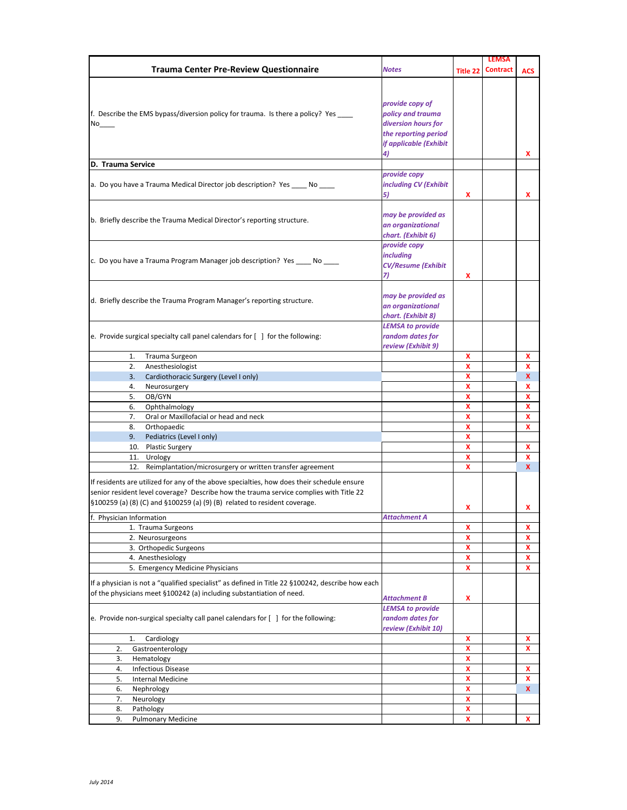|                                                                                                  |                           |              | <b>LEMSA</b>    |            |
|--------------------------------------------------------------------------------------------------|---------------------------|--------------|-----------------|------------|
| <b>Trauma Center Pre-Review Questionnaire</b>                                                    | <b>Notes</b>              | Title 22     | <b>Contract</b> | <b>ACS</b> |
|                                                                                                  |                           |              |                 |            |
|                                                                                                  |                           |              |                 |            |
|                                                                                                  | provide copy of           |              |                 |            |
| f. Describe the EMS bypass/diversion policy for trauma. Is there a policy? Yes                   | policy and trauma         |              |                 |            |
| No                                                                                               | diversion hours for       |              |                 |            |
|                                                                                                  | the reporting period      |              |                 |            |
|                                                                                                  | if applicable (Exhibit    |              |                 |            |
|                                                                                                  | 4)                        |              |                 | x          |
| D. Trauma Service                                                                                |                           |              |                 |            |
|                                                                                                  | provide copy              |              |                 |            |
| a. Do you have a Trauma Medical Director job description? Yes _____ No _____                     | including CV (Exhibit     |              |                 |            |
|                                                                                                  | 5)                        | x            |                 | x          |
|                                                                                                  |                           |              |                 |            |
| b. Briefly describe the Trauma Medical Director's reporting structure.                           | may be provided as        |              |                 |            |
|                                                                                                  | an organizational         |              |                 |            |
|                                                                                                  | chart. (Exhibit 6)        |              |                 |            |
|                                                                                                  | provide copy              |              |                 |            |
| c. Do you have a Trauma Program Manager job description? Yes _____ No ____                       | <i>including</i>          |              |                 |            |
|                                                                                                  | <b>CV/Resume (Exhibit</b> |              |                 |            |
|                                                                                                  | 7)                        | x            |                 |            |
|                                                                                                  |                           |              |                 |            |
|                                                                                                  | may be provided as        |              |                 |            |
| d. Briefly describe the Trauma Program Manager's reporting structure.                            | an organizational         |              |                 |            |
|                                                                                                  | chart. (Exhibit 8)        |              |                 |            |
|                                                                                                  | <b>LEMSA to provide</b>   |              |                 |            |
| e. Provide surgical specialty call panel calendars for [ ] for the following:                    | random dates for          |              |                 |            |
|                                                                                                  | review (Exhibit 9)        |              |                 |            |
| Trauma Surgeon<br>1.                                                                             |                           | x            |                 | x          |
| Anesthesiologist<br>2.                                                                           |                           | $\mathbf{x}$ |                 | x          |
| Cardiothoracic Surgery (Level I only)<br>3.                                                      |                           | x            |                 | <b>X</b>   |
| 4.<br>Neurosurgery                                                                               |                           | x            |                 | x          |
| OB/GYN<br>5.                                                                                     |                           | x            |                 | x          |
| Ophthalmology<br>6.                                                                              |                           | x            |                 | x          |
| Oral or Maxillofacial or head and neck<br>7.                                                     |                           | $\mathbf{x}$ |                 | x          |
| Orthopaedic<br>8.                                                                                |                           | x            |                 | x          |
| Pediatrics (Level I only)<br>9.                                                                  |                           | X            |                 |            |
| 10. Plastic Surgery                                                                              |                           | x            |                 | x.         |
| 11. Urology                                                                                      |                           | x            |                 | x          |
| 12. Reimplantation/microsurgery or written transfer agreement                                    |                           | x            |                 | <b>X</b>   |
| If residents are utilized for any of the above specialties, how does their schedule ensure       |                           |              |                 |            |
| senior resident level coverage? Describe how the trauma service complies with Title 22           |                           |              |                 |            |
| §100259 (a) (8) (C) and §100259 (a) (9) (B) related to resident coverage.                        |                           |              |                 |            |
|                                                                                                  |                           | x            |                 | x.         |
| f. Physician Information                                                                         | Attachment A              |              |                 |            |
| 1. Trauma Surgeons                                                                               |                           | x            |                 | x          |
| 2. Neurosurgeons                                                                                 |                           | x            |                 | x          |
| 3. Orthopedic Surgeons                                                                           |                           | x            |                 | x          |
| 4. Anesthesiology                                                                                |                           | X            |                 | x          |
| 5. Emergency Medicine Physicians                                                                 |                           | X            |                 | x          |
| If a physician is not a "qualified specialist" as defined in Title 22 §100242, describe how each |                           |              |                 |            |
| of the physicians meet §100242 (a) including substantiation of need.                             |                           |              |                 |            |
|                                                                                                  | <b>Attachment B</b>       | x            |                 |            |
|                                                                                                  | <b>LEMSA to provide</b>   |              |                 |            |
| e. Provide non-surgical specialty call panel calendars for [ ] for the following:                | random dates for          |              |                 |            |
|                                                                                                  | review (Exhibit 10)       |              |                 |            |
| Cardiology<br>1.                                                                                 |                           | x            |                 | x          |
| Gastroenterology<br>2.                                                                           |                           | X            |                 | x          |
| Hematology<br>3.                                                                                 |                           | x            |                 |            |
| <b>Infectious Disease</b><br>4.                                                                  |                           | X            |                 | x          |
| 5.<br><b>Internal Medicine</b>                                                                   |                           | X            |                 | x          |
| Nephrology<br>6.                                                                                 |                           | x            |                 | <b>X</b>   |
| 7.<br>Neurology                                                                                  |                           | $\mathbf{x}$ |                 |            |
| 8.<br>Pathology                                                                                  |                           | x            |                 |            |
| 9.<br><b>Pulmonary Medicine</b>                                                                  |                           | x            |                 | x          |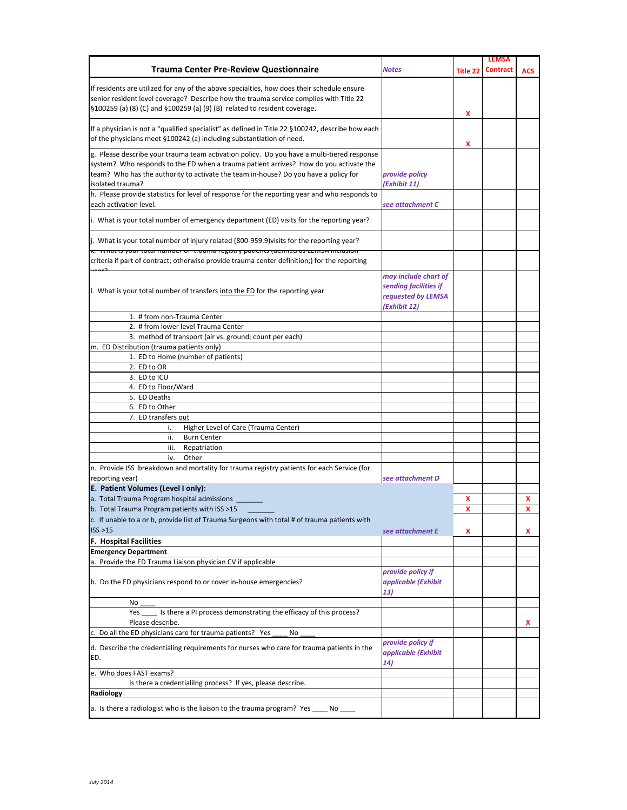|                                                                                                                              |                       |          | <b>LEMSA</b>    |            |
|------------------------------------------------------------------------------------------------------------------------------|-----------------------|----------|-----------------|------------|
| <b>Trauma Center Pre-Review Questionnaire</b>                                                                                | <b>Notes</b>          | Title 22 | <b>Contract</b> | <b>ACS</b> |
| If residents are utilized for any of the above specialties, how does their schedule ensure                                   |                       |          |                 |            |
| senior resident level coverage? Describe how the trauma service complies with Title 22                                       |                       |          |                 |            |
| §100259 (a) (8) (C) and §100259 (a) (9) (B) related to resident coverage.                                                    |                       |          |                 |            |
|                                                                                                                              |                       | x        |                 |            |
| If a physician is not a "qualified specialist" as defined in Title 22 §100242, describe how each                             |                       |          |                 |            |
| of the physicians meet §100242 (a) including substantiation of need.                                                         |                       | x        |                 |            |
| g. Please describe your trauma team activation policy. Do you have a multi-tiered response                                   |                       |          |                 |            |
| system? Who responds to the ED when a trauma patient arrives? How do you activate the                                        |                       |          |                 |            |
| team? Who has the authority to activate the team in-house? Do you have a policy for                                          | provide policy        |          |                 |            |
| isolated trauma?                                                                                                             | (Exhibit 11)          |          |                 |            |
| h. Please provide statistics for level of response for the reporting year and who responds to                                |                       |          |                 |            |
| each activation level.                                                                                                       | see attachment C      |          |                 |            |
| i. What is your total number of emergency department (ED) visits for the reporting year?                                     |                       |          |                 |            |
| j. What is your total number of injury related (800-959.9) visits for the reporting year?                                    |                       |          |                 |            |
| к. wnat is your total number or trauma registry patients (denned as LENDA inclusion                                          |                       |          |                 |            |
| criteria if part of contract; otherwise provide trauma center definition;) for the reporting                                 |                       |          |                 |            |
|                                                                                                                              | may include chart of  |          |                 |            |
| I. What is your total number of transfers into the ED for the reporting year                                                 | sending facilities if |          |                 |            |
|                                                                                                                              | requested by LEMSA    |          |                 |            |
|                                                                                                                              | (Exhibit 12)          |          |                 |            |
| 1. # from non-Trauma Center                                                                                                  |                       |          |                 |            |
| 2. # from lower level Trauma Center                                                                                          |                       |          |                 |            |
| 3. method of transport (air vs. ground; count per each)                                                                      |                       |          |                 |            |
| m. ED Distribution (trauma patients only)                                                                                    |                       |          |                 |            |
| 1. ED to Home (number of patients)<br>2. ED to OR                                                                            |                       |          |                 |            |
| 3. ED to ICU                                                                                                                 |                       |          |                 |            |
| 4. ED to Floor/Ward                                                                                                          |                       |          |                 |            |
| 5. ED Deaths                                                                                                                 |                       |          |                 |            |
| 6. ED to Other                                                                                                               |                       |          |                 |            |
| 7. ED transfers out                                                                                                          |                       |          |                 |            |
| Higher Level of Care (Trauma Center)<br>i.                                                                                   |                       |          |                 |            |
| ii.<br><b>Burn Center</b>                                                                                                    |                       |          |                 |            |
| Repatriation<br>iii.                                                                                                         |                       |          |                 |            |
| iv.<br>Other                                                                                                                 |                       |          |                 |            |
| n. Provide ISS breakdown and mortality for trauma registry patients for each Service (for                                    |                       |          |                 |            |
| reporting year)                                                                                                              | see attachment D      |          |                 |            |
| E. Patient Volumes (Level I only):                                                                                           |                       |          |                 |            |
| a. Total Trauma Program hospital admissions                                                                                  |                       | x        |                 | x          |
| b. Total Trauma Program patients with ISS >15                                                                                |                       | X        |                 | x          |
| c. If unable to a or b, provide list of Trauma Surgeons with total # of trauma patients with                                 |                       |          |                 |            |
| ISS > 15                                                                                                                     | see attachment E      | x        |                 | x.         |
| <b>F. Hospital Facilities</b>                                                                                                |                       |          |                 |            |
| <b>Emergency Department</b><br>a. Provide the ED Trauma Liaison physician CV if applicable                                   |                       |          |                 |            |
|                                                                                                                              | provide policy if     |          |                 |            |
| b. Do the ED physicians respond to or cover in-house emergencies?                                                            | applicable (Exhibit   |          |                 |            |
|                                                                                                                              | 13)                   |          |                 |            |
| No                                                                                                                           |                       |          |                 |            |
| Is there a PI process demonstrating the efficacy of this process?<br>Yes                                                     |                       |          |                 |            |
| Please describe.                                                                                                             |                       |          |                 | x.         |
| c. Do all the ED physicians care for trauma patients? Yes<br>No                                                              |                       |          |                 |            |
|                                                                                                                              | provide policy if     |          |                 |            |
| d. Describe the credentialing requirements for nurses who care for trauma patients in the                                    | applicable (Exhibit   |          |                 |            |
| ED.                                                                                                                          | 14)                   |          |                 |            |
| e. Who does FAST exams?                                                                                                      |                       |          |                 |            |
| Is there a credentialilng process? If yes, please describe.                                                                  |                       |          |                 |            |
| Radiology                                                                                                                    |                       |          |                 |            |
| a. Is there a radiologist who is the liaison to the trauma program? Yes<br>$\overline{\textsf{No}}$ $\overline{\phantom{0}}$ |                       |          |                 |            |
|                                                                                                                              |                       |          |                 |            |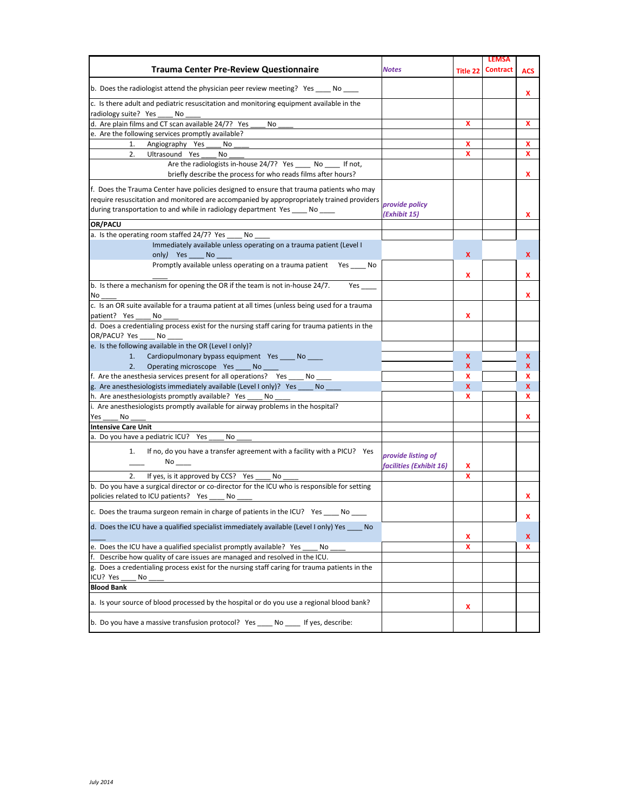|                                                                                               |                         |                 | <b>LEMSA</b>    |              |
|-----------------------------------------------------------------------------------------------|-------------------------|-----------------|-----------------|--------------|
| <b>Trauma Center Pre-Review Questionnaire</b>                                                 | <b>Notes</b>            | <b>Title 22</b> | <b>Contract</b> | ACS          |
| b. Does the radiologist attend the physician peer review meeting? Yes _____ No _____          |                         |                 |                 |              |
|                                                                                               |                         |                 |                 | x            |
| c. Is there adult and pediatric resuscitation and monitoring equipment available in the       |                         |                 |                 |              |
| radiology suite? Yes<br>No                                                                    |                         |                 |                 |              |
| d. Are plain films and CT scan available 24/7? Yes<br>No                                      |                         | x               |                 | x            |
| e. Are the following services promptly available?                                             |                         |                 |                 |              |
| Angiography Yes<br>1.<br>No                                                                   |                         | x               |                 | x            |
| Ultrasound Yes<br>2.<br>No                                                                    |                         | x               |                 | x            |
| Are the radiologists in-house 24/7? Yes No If not,                                            |                         |                 |                 |              |
| briefly describe the process for who reads films after hours?                                 |                         |                 |                 | x            |
| f. Does the Trauma Center have policies designed to ensure that trauma patients who may       |                         |                 |                 |              |
| require resuscitation and monitored are accompanied by appropropriately trained providers     |                         |                 |                 |              |
| during transportation to and while in radiology department Yes _____ No _____                 | provide policy          |                 |                 |              |
|                                                                                               | (Exhibit 15)            |                 |                 | x            |
| OR/PACU                                                                                       |                         |                 |                 |              |
| a. Is the operating room staffed 24/7? Yes _____ No                                           |                         |                 |                 |              |
| Immediately available unless operating on a trauma patient (Level I                           |                         |                 |                 |              |
| only) Yes No                                                                                  |                         | X               |                 | X.           |
| Promptly available unless operating on a trauma patient Yes _____ No                          |                         | x               |                 | x            |
| b. Is there a mechanism for opening the OR if the team is not in-house 24/7.<br>Yes           |                         |                 |                 |              |
| No                                                                                            |                         |                 |                 | x            |
| c. Is an OR suite available for a trauma patient at all times (unless being used for a trauma |                         |                 |                 |              |
| patient? Yes<br>No                                                                            |                         | x               |                 |              |
| d. Does a credentialing process exist for the nursing staff caring for trauma patients in the |                         |                 |                 |              |
| OR/PACU? Yes ____ No ___                                                                      |                         |                 |                 |              |
| e. Is the following available in the OR (Level I only)?                                       |                         |                 |                 |              |
| Cardiopulmonary bypass equipment Yes _____ No _____<br>1.                                     |                         | X               |                 | X            |
| 2.<br>Operating microscope Yes _____ No                                                       |                         | X               |                 | X.           |
| f. Are the anesthesia services present for all operations? Yes<br>No                          |                         | x               |                 | x            |
| g. Are anesthesiologists immediately available (Level I only)? Yes _____ No                   |                         | X               |                 | $\mathbf{x}$ |
| h. Are anesthesiologists promptly available? Yes<br>No                                        |                         | x               |                 | x            |
| i. Are anesthesiologists promptly available for airway problems in the hospital?              |                         |                 |                 |              |
|                                                                                               |                         |                 |                 |              |
| Yes<br>No                                                                                     |                         |                 |                 | x            |
| <b>Intensive Care Unit</b>                                                                    |                         |                 |                 |              |
| a. Do you have a pediatric ICU? Yes<br>No                                                     |                         |                 |                 |              |
| If no, do you have a transfer agreement with a facility with a PICU? Yes<br>1.                |                         |                 |                 |              |
|                                                                                               | provide listing of      |                 |                 |              |
|                                                                                               | facilities (Exhibit 16) | x               |                 |              |
| If yes, is it approved by CCS? Yes<br>2.<br>No                                                |                         | x               |                 |              |
| b. Do you have a surgical director or co-director for the ICU who is responsible for setting  |                         |                 |                 |              |
| policies related to ICU patients? Yes<br>No                                                   |                         |                 |                 | x            |
| c. Does the trauma surgeon remain in charge of patients in the ICU? Yes<br>No                 |                         |                 |                 | x            |
| d. Does the ICU have a qualified specialist immediately available (Level I only) Yes No       |                         |                 |                 |              |
|                                                                                               |                         | x               |                 | X.           |
| e. Does the ICU have a qualified specialist promptly available? Yes<br>No                     |                         | x               |                 | x            |
| f. Describe how quality of care issues are managed and resolved in the ICU.                   |                         |                 |                 |              |
| g. Does a credentialing process exist for the nursing staff caring for trauma patients in the |                         |                 |                 |              |
| ICU? Yes<br>No                                                                                |                         |                 |                 |              |
| <b>Blood Bank</b>                                                                             |                         |                 |                 |              |
| a. Is your source of blood processed by the hospital or do you use a regional blood bank?     |                         | x               |                 |              |
| b. Do you have a massive transfusion protocol? Yes ____ No ____ If yes, describe:             |                         |                 |                 |              |
|                                                                                               |                         |                 |                 |              |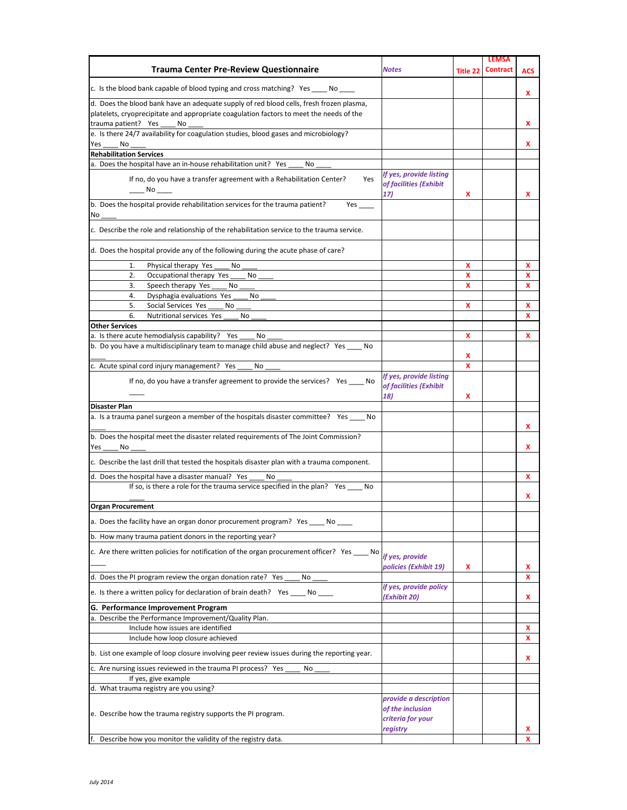| <b>Trauma Center Pre-Review Questionnaire</b>                                                                                                                                                                   | <b>Notes</b>                                                   | Title 22 | <b>LEMSA</b><br><b>Contract</b> | <b>ACS</b> |
|-----------------------------------------------------------------------------------------------------------------------------------------------------------------------------------------------------------------|----------------------------------------------------------------|----------|---------------------------------|------------|
| c. Is the blood bank capable of blood typing and cross matching? Yes _____ No                                                                                                                                   |                                                                |          |                                 | x          |
| d. Does the blood bank have an adequate supply of red blood cells, fresh frozen plasma,<br>platelets, cryoprecipitate and appropriate coagulation factors to meet the needs of the<br>trauma patient? Yes<br>No |                                                                |          |                                 | x          |
| e. Is there 24/7 availability for coagulation studies, blood gases and microbiology?                                                                                                                            |                                                                |          |                                 |            |
| Yes<br>No                                                                                                                                                                                                       |                                                                |          |                                 | x          |
| <b>Rehabilitation Services</b>                                                                                                                                                                                  |                                                                |          |                                 |            |
| a. Does the hospital have an in-house rehabilitation unit? Yes<br>No<br>If no, do you have a transfer agreement with a Rehabilitation Center?<br>Yes<br>___ No ____                                             | If yes, provide listing<br>of facilities (Exhibit<br>17)       |          |                                 |            |
| b. Does the hospital provide rehabilitation services for the trauma patient?<br>Yes $\_\_\_\_\_\_\$                                                                                                             |                                                                | x        |                                 | x          |
| No                                                                                                                                                                                                              |                                                                |          |                                 |            |
| c. Describe the role and relationship of the rehabilitation service to the trauma service.                                                                                                                      |                                                                |          |                                 |            |
| d. Does the hospital provide any of the following during the acute phase of care?                                                                                                                               |                                                                |          |                                 |            |
| Physical therapy Yes<br>1.<br>No                                                                                                                                                                                |                                                                | x        |                                 | x          |
| Occupational therapy Yes<br>2.<br>No<br>Speech therapy Yes<br>3.<br>No                                                                                                                                          |                                                                | x<br>x   |                                 | x<br>x     |
| Dysphagia evaluations Yes<br>4.<br>No                                                                                                                                                                           |                                                                |          |                                 |            |
| Social Services Yes<br>5.<br>No                                                                                                                                                                                 |                                                                | x        |                                 | x          |
| Nutritional services Yes<br>6.<br>No                                                                                                                                                                            |                                                                |          |                                 | x          |
| <b>Other Services</b>                                                                                                                                                                                           |                                                                |          |                                 |            |
| a. Is there acute hemodialysis capability? Yes<br>No                                                                                                                                                            |                                                                | x        |                                 | x          |
| b. Do you have a multidisciplinary team to manage child abuse and neglect? Yes No                                                                                                                               |                                                                | x        |                                 |            |
| c. Acute spinal cord injury management? Yes<br>No                                                                                                                                                               |                                                                | x        |                                 |            |
| If no, do you have a transfer agreement to provide the services? Yes _____ No                                                                                                                                   | If yes, provide listing<br>of facilities (Exhibit<br>18)       | x        |                                 |            |
| Disaster Plan                                                                                                                                                                                                   |                                                                |          |                                 |            |
| a. Is a trauma panel surgeon a member of the hospitals disaster committee? Yes _____ No                                                                                                                         |                                                                |          |                                 | x          |
| b. Does the hospital meet the disaster related requirements of The Joint Commission?<br>Yes<br>No                                                                                                               |                                                                |          |                                 | x          |
| c. Describe the last drill that tested the hospitals disaster plan with a trauma component.                                                                                                                     |                                                                |          |                                 |            |
| d. Does the hospital have a disaster manual? Yes<br>No                                                                                                                                                          |                                                                |          |                                 | x          |
| If so, is there a role for the trauma service specified in the plan? Yes<br>No                                                                                                                                  |                                                                |          |                                 | x          |
| <b>Organ Procurement</b>                                                                                                                                                                                        |                                                                |          |                                 |            |
| a. Does the facility have an organ donor procurement program? Yes ____ No                                                                                                                                       |                                                                |          |                                 |            |
| b. How many trauma patient donors in the reporting year?                                                                                                                                                        |                                                                |          |                                 |            |
| c. Are there written policies for notification of the organ procurement officer? Yes _____ No                                                                                                                   | if yes, provide                                                |          |                                 |            |
| d. Does the PI program review the organ donation rate? Yes<br>No                                                                                                                                                | policies (Exhibit 19)                                          | x        |                                 | x<br>X     |
| e. Is there a written policy for declaration of brain death? Yes _____ No _                                                                                                                                     | if yes, provide policy<br>(Exhibit 20)                         |          |                                 | x          |
| G. Performance Improvement Program                                                                                                                                                                              |                                                                |          |                                 |            |
| a. Describe the Performance Improvement/Quality Plan.                                                                                                                                                           |                                                                |          |                                 |            |
| Include how issues are identified                                                                                                                                                                               |                                                                |          |                                 | x          |
| Include how loop closure achieved                                                                                                                                                                               |                                                                |          |                                 | x          |
| b. List one example of loop closure involving peer review issues during the reporting year.                                                                                                                     |                                                                |          |                                 | x          |
| c. Are nursing issues reviewed in the trauma PI process? Yes<br>No<br>If yes, give example                                                                                                                      |                                                                |          |                                 |            |
| d. What trauma registry are you using?                                                                                                                                                                          |                                                                |          |                                 |            |
| e. Describe how the trauma registry supports the PI program.                                                                                                                                                    | provide a description<br>of the inclusion<br>criteria for your |          |                                 |            |
| Describe how you monitor the validity of the registry data.                                                                                                                                                     | registry                                                       |          |                                 | x<br>x     |